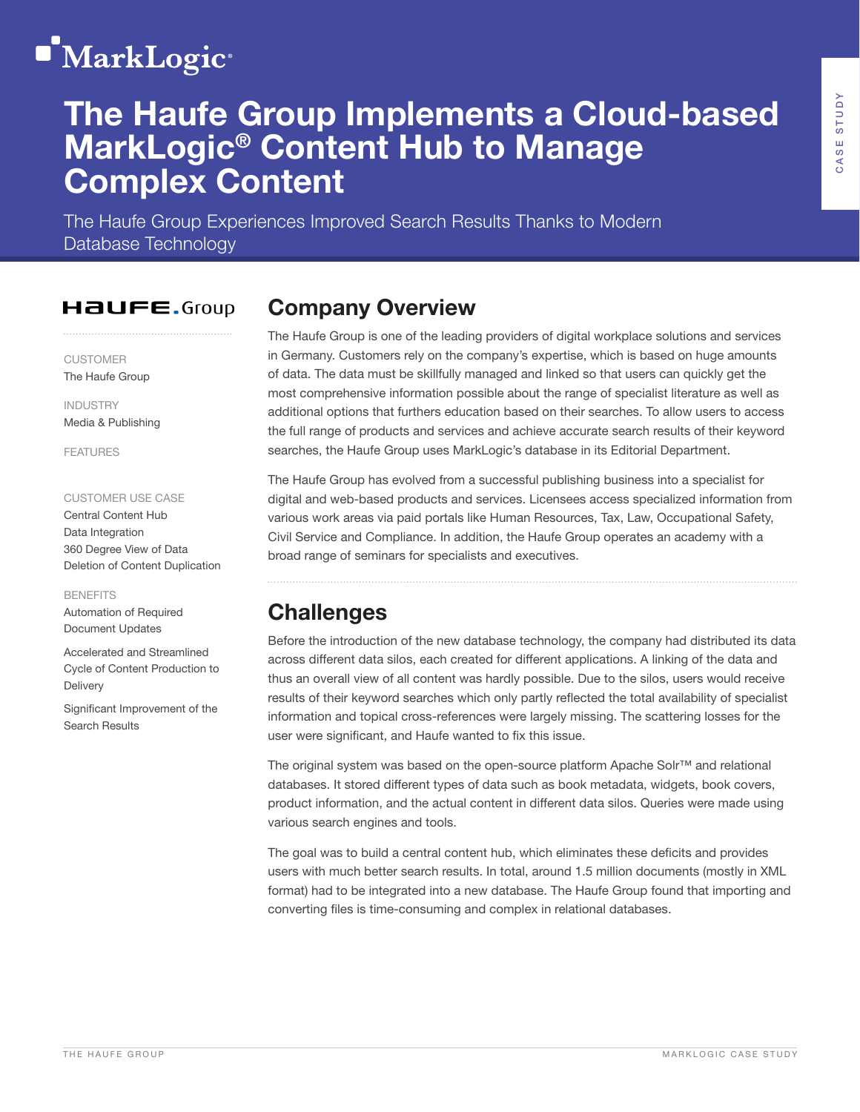# **MarkLogic**<sup>®</sup>

## The Haufe Group Implements a Cloud-based MarkLogic® Content Hub to Manage Complex Content

The Haufe Group Experiences Improved Search Results Thanks to Modern Database Technology

#### **HAUFE.**Group

CUSTOMER The Haufe Group

INDUSTRY Media & Publishing

FEATURES

#### CUSTOMER USE CASE

Central Content Hub Data Integration 360 Degree View of Data Deletion of Content Duplication

#### **BENEFITS**

Automation of Required Document Updates

Accelerated and Streamlined Cycle of Content Production to **Delivery** 

Significant Improvement of the Search Results

### Company Overview

The Haufe Group is one of the leading providers of digital workplace solutions and services in Germany. Customers rely on the company's expertise, which is based on huge amounts of data. The data must be skillfully managed and linked so that users can quickly get the most comprehensive information possible about the range of specialist literature as well as additional options that furthers education based on their searches. To allow users to access the full range of products and services and achieve accurate search results of their keyword searches, the Haufe Group uses MarkLogic's database in its Editorial Department.

The Haufe Group has evolved from a successful publishing business into a specialist for digital and web-based products and services. Licensees access specialized information from various work areas via paid portals like Human Resources, Tax, Law, Occupational Safety, Civil Service and Compliance. In addition, the Haufe Group operates an academy with a broad range of seminars for specialists and executives.

## **Challenges**

Before the introduction of the new database technology, the company had distributed its data across different data silos, each created for different applications. A linking of the data and thus an overall view of all content was hardly possible. Due to the silos, users would receive results of their keyword searches which only partly reflected the total availability of specialist information and topical cross-references were largely missing. The scattering losses for the user were significant, and Haufe wanted to fix this issue.

The original system was based on the open-source platform Apache Solr™ and relational databases. It stored different types of data such as book metadata, widgets, book covers, product information, and the actual content in different data silos. Queries were made using various search engines and tools.

The goal was to build a central content hub, which eliminates these deficits and provides users with much better search results. In total, around 1.5 million documents (mostly in XML format) had to be integrated into a new database. The Haufe Group found that importing and converting files is time-consuming and complex in relational databases.